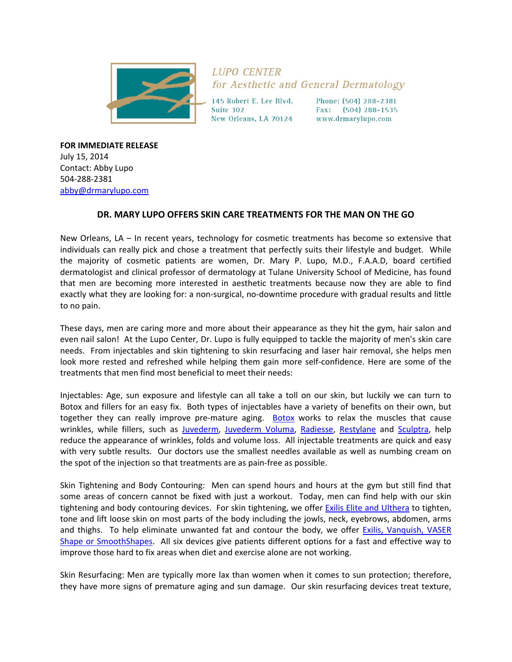

**LUPO CENTER** for Aesthetic and General Dermatology

145 Robert E. Lee Blvd. Suite 302 New Orleans, LA 70124 Phone: (504) 288-2381 Fax: (504) 288-1535 www.drmarylupo.com

**FOR IMMEDIATE RELEASE** July 15, 2014 Contact: Abby Lupo 504‐288‐2381 abby@drmarylupo.com

## **DR. MARY LUPO OFFERS SKIN CARE TREATMENTS FOR THE MAN ON THE GO**

New Orleans, LA – In recent years, technology for cosmetic treatments has become so extensive that individuals can really pick and chose a treatment that perfectly suits their lifestyle and budget. While the majority of cosmetic patients are women, Dr. Mary P. Lupo, M.D., F.A.A.D, board certified dermatologist and clinical professor of dermatology at Tulane University School of Medicine, has found that men are becoming more interested in aesthetic treatments because now they are able to find exactly what they are looking for: a non-surgical, no-downtime procedure with gradual results and little to no pain.

These days, men are caring more and more about their appearance as they hit the gym, hair salon and even nail salon! At the Lupo Center, Dr. Lupo is fully equipped to tackle the majority of men's skin care needs. From injectables and skin tightening to skin resurfacing and laser hair removal, she helps men look more rested and refreshed while helping them gain more self‐confidence. Here are some of the treatments that men find most beneficial to meet their needs:

Injectables: Age, sun exposure and lifestyle can all take a toll on our skin, but luckily we can turn to Botox and fillers for an easy fix. Both types of injectables have a variety of benefits on their own, but together they can really improve pre-mature aging. Botox works to relax the muscles that cause wrinkles, while fillers, such as Juvederm, Juvederm Voluma, Radiesse, Restylane and Sculptra, help reduce the appearance of wrinkles, folds and volume loss. All injectable treatments are quick and easy with very subtle results. Our doctors use the smallest needles available as well as numbing cream on the spot of the injection so that treatments are as pain‐free as possible.

Skin Tightening and Body Contouring: Men can spend hours and hours at the gym but still find that some areas of concern cannot be fixed with just a workout. Today, men can find help with our skin tightening and body contouring devices. For skin tightening, we offer **Exilis Elite and Ulthera** to tighten, tone and lift loose skin on most parts of the body including the jowls, neck, eyebrows, abdomen, arms and thighs. To help eliminate unwanted fat and contour the body, we offer Exilis, Vanquish, VASER Shape or SmoothShapes. All six devices give patients different options for a fast and effective way to improve those hard to fix areas when diet and exercise alone are not working.

Skin Resurfacing: Men are typically more lax than women when it comes to sun protection; therefore, they have more signs of premature aging and sun damage. Our skin resurfacing devices treat texture,